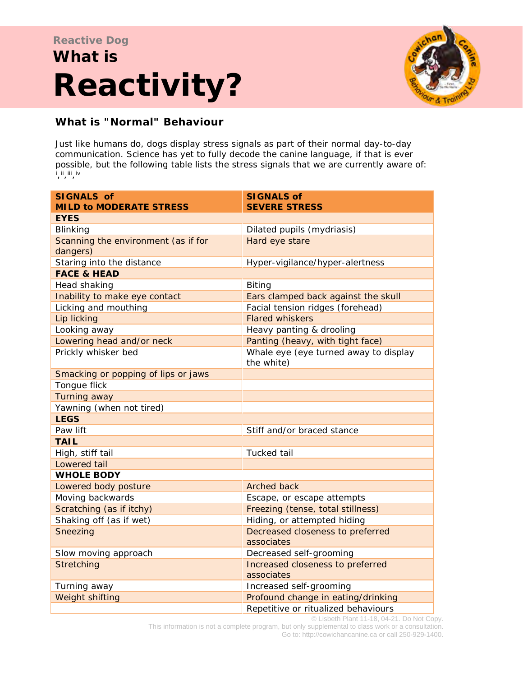# $\mathbf{R} \in \mathcal{L}$  is the isocial is threatening somebody who is in possession of a value  $\mathcal{L}$ Reactivity? **Reactive Dog What is**



# **What is "Normal" Behaviour**

Just like humans do, dogs display stress signals as part of their normal day-to-day communication. Science has yet to fully decode the canine language, if that is ever possible, but the following table lists the stress signals that we are currently aware of: [i](#page-6-0) ,[ii,](#page-6-1)[iii](#page-6-2),[iv](#page-6-3)

| <b>SIGNALS of</b>                   | <b>SIGNALS of</b>                                   |
|-------------------------------------|-----------------------------------------------------|
| <b>MILD to MODERATE STRESS</b>      | <b>SEVERE STRESS</b>                                |
| <b>EYES</b>                         |                                                     |
| Blinking                            | Dilated pupils (mydriasis)                          |
| Scanning the environment (as if for | Hard eye stare                                      |
| dangers)                            |                                                     |
| Staring into the distance           | Hyper-vigilance/hyper-alertness                     |
| <b>FACE &amp; HEAD</b>              |                                                     |
| Head shaking                        | <b>Biting</b>                                       |
| Inability to make eye contact       | Ears clamped back against the skull                 |
| Licking and mouthing                | Facial tension ridges (forehead)                    |
| Lip licking                         | <b>Flared whiskers</b>                              |
| Looking away                        | Heavy panting & drooling                            |
| Lowering head and/or neck           | Panting (heavy, with tight face)                    |
| Prickly whisker bed                 | Whale eye (eye turned away to display<br>the white) |
| Smacking or popping of lips or jaws |                                                     |
| Tongue flick                        |                                                     |
| Turning away                        |                                                     |
| Yawning (when not tired)            |                                                     |
| <b>LEGS</b>                         |                                                     |
| Paw lift                            | Stiff and/or braced stance                          |
| <b>TAIL</b>                         |                                                     |
| High, stiff tail                    | Tucked tail                                         |
| Lowered tail                        |                                                     |
| <b>WHOLE BODY</b>                   |                                                     |
| Lowered body posture                | Arched back                                         |
| Moving backwards                    | Escape, or escape attempts                          |
| Scratching (as if itchy)            | Freezing (tense, total stillness)                   |
| Shaking off (as if wet)             | Hiding, or attempted hiding                         |
| Sneezing                            | Decreased closeness to preferred<br>associates      |
| Slow moving approach                | Decreased self-grooming                             |
| <b>Stretching</b>                   | Increased closeness to preferred                    |
|                                     | associates                                          |
| Turning away                        | Increased self-grooming                             |
| Weight shifting                     | Profound change in eating/drinking                  |
|                                     | Repetitive or ritualized behaviours                 |

© Lisbeth Plant 11-18, 04-21. Do Not Copy. This information is not a complete program, but only supplemental to class work or a consultation. Go to: http://cowichancanine.ca or call 250-929-1400.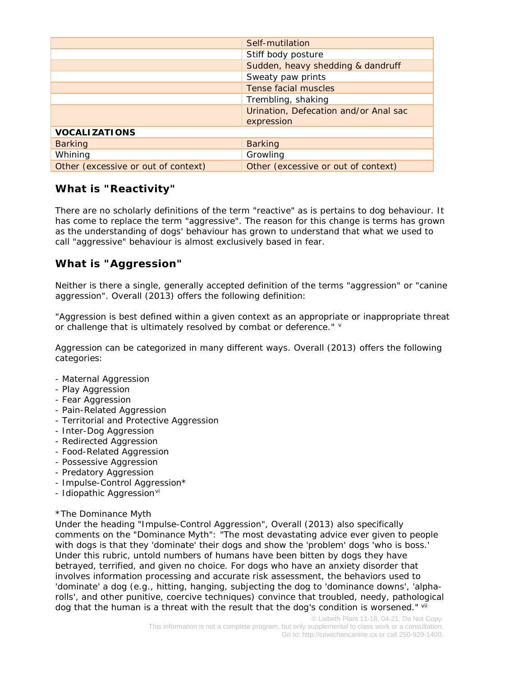|                                     | Self-mutilation                       |
|-------------------------------------|---------------------------------------|
|                                     | Stiff body posture                    |
|                                     | Sudden, heavy shedding & dandruff     |
|                                     | Sweaty paw prints                     |
|                                     | Tense facial muscles                  |
|                                     | Trembling, shaking                    |
|                                     | Urination, Defecation and/or Anal sac |
|                                     | expression                            |
| <b>VOCALIZATIONS</b>                |                                       |
| <b>Barking</b>                      | <b>Barking</b>                        |
| Whining                             | Growling                              |
| Other (excessive or out of context) | Other (excessive or out of context)   |

## **What is "Reactivity"**

There are no scholarly definitions of the term "reactive" as is pertains to dog behaviour. It has come to replace the term "aggressive". The reason for this change is terms has grown as the understanding of dogs' behaviour has grown to understand that what we used to call "aggressive" behaviour is almost exclusively based in fear.

# **What is "Aggression"**

Neither is there a single, generally accepted definition of the terms "aggression" or "canine aggression". Overall (2013) offers the following definition:

"*Aggression is best defined within a given context as an appropriate or inappropriate threat or challenge that is ultimately resolved by combat or deference." [v](#page-7-0)*

Aggression can be categorized in many different ways. Overall (2013) offers the following categories:

- Maternal Aggression
- Play Aggression
- Fear Aggression
- Pain-Related Aggression
- Territorial and Protective Aggression
- Inter-Dog Aggression
- Redirected Aggression
- Food-Related Aggression
- Possessive Aggression
- Predatory Aggression
- Impulse-Control Aggression\*
- Idiopathic Aggression<sup>[vi](#page-7-1)</sup>

#### \*The Dominance Myth

Under the heading "Impulse-Control Aggression", Overall (2013) also specifically comments on the "Dominance Myth": "*The most devastating advice ever given to people with dogs is that they 'dominate' their dogs and show the 'problem' dogs 'who is boss.' Under this rubric, untold numbers of humans have been bitten by dogs they have*  betrayed, terrified, and given no choice. For dogs who have an anxiety disorder that *involves information processing and accurate risk assessment, the behaviors used to 'dominate' a dog (e.g., hitting, hanging, subjecting the dog to 'dominance downs', 'alpha*rolls', and other punitive, coercive techniques) convince that troubled, needy, pathological *dog that the human is a threat with the result that the dog's condition is worsened.*" *[vii](#page-7-2)*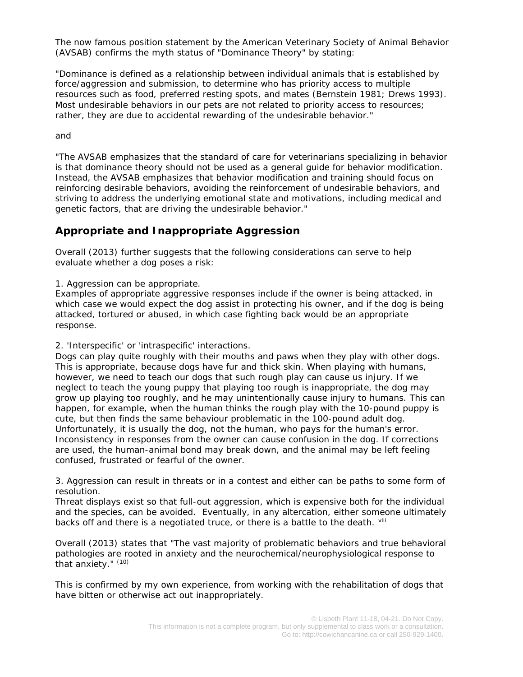The now famous position statement by the American Veterinary Society of Animal Behavior (AVSAB) confirms the myth status of "Dominance Theory" by stating:

"*Dominance is defined as a relationship between individual animals that is established by force/aggression and submission, to determine who has priority access to multiple resources such as food, preferred resting spots, and mates (Bernstein 1981; Drews 1993). Most undesirable behaviors in our pets are not related to priority access to resources; rather, they are due to accidental rewarding of the undesirable behavior*."

and

"*The AVSAB emphasizes that the standard of care for veterinarians specializing in behavior is that dominance theory should not be used as a general guide for behavior modification. Instead, the AVSAB emphasizes that behavior modification and training should focus on reinforcing desirable behaviors, avoiding the reinforcement of undesirable behaviors, and striving to address the underlying emotional state and motivations, including medical and genetic factors, that are driving the undesirable behavior.*"

## **Appropriate and Inappropriate Aggression**

Overall (2013) further suggests that the following considerations can serve to help evaluate whether a dog poses a risk:

#### *1. Aggression can be appropriate.*

Examples of appropriate aggressive responses include if the owner is being attacked, in which case we would expect the dog assist in protecting his owner, and if the dog is being attacked, tortured or abused, in which case fighting back would be an appropriate response.

#### *2. 'Interspecific' or 'intraspecific' interactions.*

Dogs can play quite roughly with their mouths and paws when they play with other dogs. This is appropriate, because dogs have fur and thick skin. When playing with humans, however, we need to teach our dogs that such rough play can cause us injury. If we neglect to teach the young puppy that playing too rough is inappropriate, the dog may grow up playing too roughly, and he may unintentionally cause injury to humans. This can happen, for example, when the human thinks the rough play with the 10-pound puppy is cute, but then finds the same behaviour problematic in the 100-pound adult dog. Unfortunately, it is usually the dog, not the human, who pays for the human's error. Inconsistency in responses from the owner can cause confusion in the dog. If corrections are used, the human-animal bond may break down, and the animal may be left feeling confused, frustrated or fearful of the owner.

#### *3. Aggression can result in threats or in a contest and either can be paths to some form of resolution.*

Threat displays exist so that full-out aggression, which is expensive both for the individual and the species, can be avoided. Eventually, in any altercation, either someone ultimately backs off and there is a negotiated truce, or there is a battle to the death. vill

#### Overall (2013) states that "*The vast majority of problematic behaviors and true behavioral pathologies are rooted in anxiety and the neurochemical/neurophysiological response to that anxiety.*" *(10)*

This is confirmed by my own experience, from working with the rehabilitation of dogs that have bitten or otherwise act out inappropriately.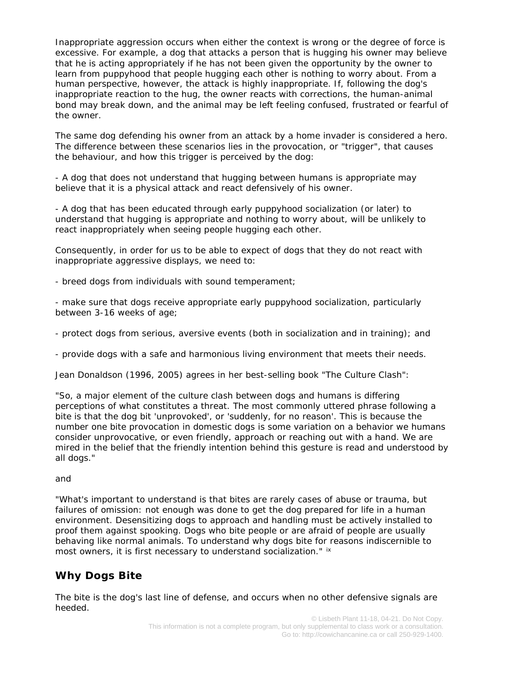Inappropriate aggression occurs when either the context is wrong or the degree of force is excessive. For example, a dog that attacks a person that is hugging his owner may *believe* that he is acting appropriately if he has not been given the opportunity by the owner to learn from puppyhood that people hugging each other is nothing to worry about. From a human perspective, however, the attack is highly inappropriate. If, following the dog's inappropriate reaction to the hug, the owner reacts with corrections, the human-animal bond may break down, and the animal may be left feeling confused, frustrated or fearful of the owner.

The same dog defending his owner from an attack by a home invader is considered a hero. The difference between these scenarios lies in the provocation, or "trigger", that causes the behaviour, and how this trigger is perceived by the dog:

- A dog that does not understand that hugging between humans is appropriate may believe that it is a physical attack and react defensively of his owner.

- A dog that has been educated through early puppyhood socialization (or later) to understand that hugging is appropriate and nothing to worry about, will be unlikely to react inappropriately when seeing people hugging each other.

Consequently, in order for us to be able to expect of dogs that they do not react with inappropriate aggressive displays, we need to:

- breed dogs from individuals with sound temperament;

- make sure that dogs receive appropriate early puppyhood socialization, particularly between 3-16 weeks of age;

- protect dogs from serious, aversive events (both in socialization and in training); and

- provide dogs with a safe and harmonious living environment that meets their needs.

Jean Donaldson (1996, 2005) agrees in her best-selling book "The Culture Clash":

"*So, a major element of the culture clash between dogs and humans is differing perceptions of what constitutes a threat. The most commonly uttered phrase following a bite is that the dog bit 'unprovoked', or 'suddenly, for no reason'. This is because the number one bite provocation in domestic dogs is some variation on a behavior we humans consider unprovocative, or even friendly, approach or reaching out with a hand. We are mired in the belief that the friendly intention behind this gesture is read and understood by all dogs.*"

#### and

"*What's important to understand is that bites are rarely cases of abuse or trauma, but*  failures of omission: not enough was done to get the dog prepared for life in a human *environment. Desensitizing dogs to approach and handling must be actively installed to proof them against spooking. Dogs who bite people or are afraid of people are usually behaving like normal animals. To understand why dogs bite for reasons indiscernible to most owners, it is first necessary to understand socialization.*" [ix](#page-7-4)

# **Why Dogs Bite**

The bite is the dog's last line of defense, and occurs when no other defensive signals are heeded.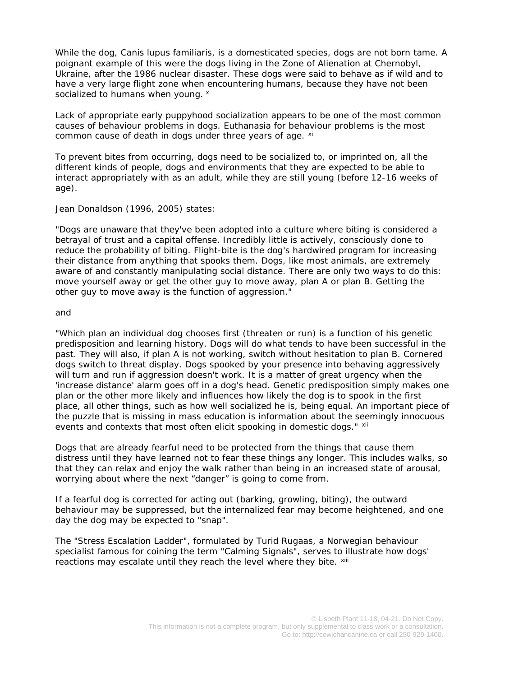While the dog, *Canis lupus familiaris*, is a domesticated species, dogs are not born tame. A poignant example of this were the dogs living in the Zone of Alienation at Chernobyl, Ukraine, after the 1986 nuclear disaster. These dogs were said to behave as if wild and to have a very large flight zone when encountering humans, because they have not been socialized to humans when young. *[x](#page-7-5)*

Lack of appropriate early puppyhood socialization appears to be one of the most common causes of behaviour problems in dogs. Euthanasia for behaviour problems is the most common cause of death in dogs under three years of age. [xi](#page-7-6)

To prevent bites from occurring, dogs need to be socialized to, or imprinted on, all the different kinds of people, dogs and environments that they are expected to be able to interact appropriately with as an adult, while they are still young (before 12-16 weeks of age).

Jean Donaldson (1996, 2005) states:

*"Dogs are unaware that they've been adopted into a culture where biting is considered a betrayal of trust and a capital offense. Incredibly little is actively, consciously done to reduce the probability of biting. Flight-bite is the dog's hardwired program for increasing their distance from anything that spooks them. Dogs, like most animals, are extremely aware of and constantly manipulating social distance. There are only two ways to do this: move yourself away or get the other guy to move away, plan A or plan B. Getting the other guy to move away is the function of aggression."*

#### and

*"Which plan an individual dog chooses first (threaten or run) is a function of his genetic predisposition and learning history. Dogs will do what tends to have been successful in the past. They will also, if plan A is not working, switch without hesitation to plan B. Cornered dogs switch to threat display. Dogs spooked by your presence into behaving aggressively will turn and run if aggression doesn't work. It is a matter of great urgency when the 'increase distance' alarm goes off in a dog's head. Genetic predisposition simply makes one plan or the other more likely and influences how likely the dog is to spook in the first place, all other things, such as how well socialized he is, being equal. An important piece of the puzzle that is missing in mass education is information about the seemingly innocuous events and contexts that most often elicit spooking in domestic dogs." [xii](#page-7-7)*

Dogs that are already fearful need to be protected from the things that cause them distress until they have learned not to fear these things any longer. This includes walks, so that they can relax and enjoy the walk rather than being in an increased state of arousal, worrying about where the next "danger" is going to come from.

If a fearful dog is corrected for acting out (barking, growling, biting), the outward behaviour may be suppressed, but the internalized fear may become heightened, and one day the dog may be expected to "snap".

The "Stress Escalation Ladder", formulated by Turid Rugaas, a Norwegian behaviour specialist famous for coining the term "Calming Signals", serves to illustrate how dogs' reactions may escalate until they reach the level where they bite.  $^{xiii}$  $^{xiii}$  $^{xiii}$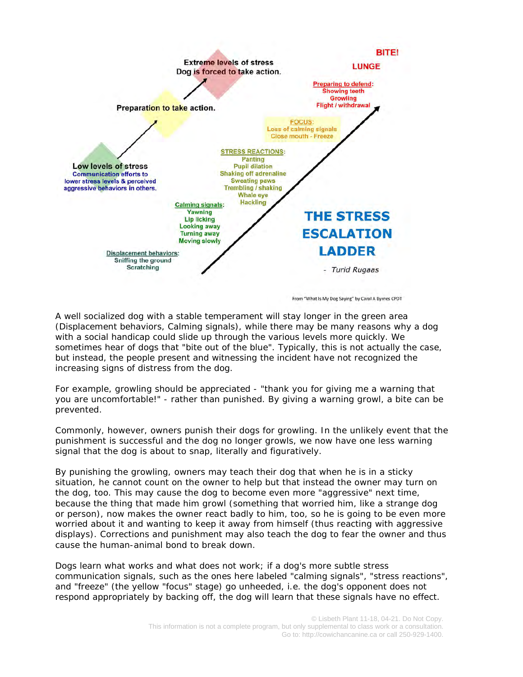

From "What Is My Dog Saying" by Carol A Byrnes CPDT

A well socialized dog with a stable temperament will stay longer in the green area (Displacement behaviors, Calming signals), while there may be many reasons why a dog with a social handicap could slide up through the various levels more quickly. We sometimes hear of dogs that "bite out of the blue". Typically, this is not actually the case, but instead, the people present and witnessing the incident have not recognized the increasing signs of distress from the dog.

For example, *growling should be appreciated* - "thank you for giving me a warning that you are uncomfortable!" - rather than punished. By giving a warning growl, a bite can be prevented.

Commonly, however, owners punish their dogs for growling. In the unlikely event that the punishment is successful and the dog no longer growls, we now have one less warning signal that the dog is about to snap, literally and figuratively.

By punishing the growling, owners may teach their dog that when he is in a sticky situation, he cannot count on the owner to help but that instead the owner may turn on the dog, too. This may cause the dog to become even more "aggressive" next time, because the thing that made him growl (something that worried him, like a strange dog or person), now makes the owner react badly to him, too, so he is going to be even more worried about it and wanting to keep it away from himself (thus reacting with aggressive displays). Corrections and punishment may also teach the dog to fear the owner and thus cause the human-animal bond to break down.

Dogs learn what works and what does not work; if a dog's more subtle stress communication signals, such as the ones here labeled "calming signals", "stress reactions", and "freeze" (the yellow "focus" stage) go unheeded, i.e. the dog's opponent does not respond appropriately by backing off, the dog will learn that these signals have no effect.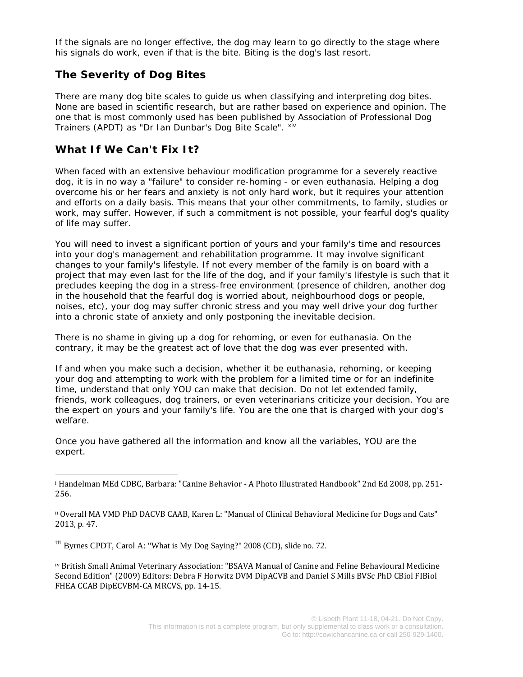If the signals are no longer effective, the dog may learn to go directly to the stage where his signals do work, even if that is the bite. Biting is the dog's last resort.

## **The Severity of Dog Bites**

There are many dog bite scales to guide us when classifying and interpreting dog bites. None are based in scientific research, but are rather based on experience and opinion. The one that is most commonly used has been published by Association of Professional Dog Trainers (APDT) as "Dr Ian Dunbar's Dog Bite Scale". Xiv

## **What If We Can't Fix It?**

When faced with an extensive behaviour modification programme for a severely reactive dog, it is in no way a "failure" to consider re-homing - or even euthanasia. Helping a dog overcome his or her fears and anxiety is not only hard work, but it requires your attention and efforts on a daily basis. This means that your other commitments, to family, studies or work, may suffer. However, if such a commitment is not possible, your fearful dog's quality of life may suffer.

You will need to invest a significant portion of yours and your family's time and resources into your dog's management and rehabilitation programme. It may involve significant changes to your family's lifestyle. If not every member of the family is on board with a project that may even last for the life of the dog, and if your family's lifestyle is such that it precludes keeping the dog in a stress-free environment (presence of children, another dog in the household that the fearful dog is worried about, neighbourhood dogs or people, noises, etc), your dog may suffer chronic stress and you may well drive your dog further into a chronic state of anxiety and only postponing the inevitable decision.

There is no shame in giving up a dog for rehoming, or even for euthanasia. On the contrary, it may be the greatest act of love that the dog was ever presented with.

If and when you make such a decision, whether it be euthanasia, rehoming, or keeping your dog and attempting to work with the problem for a limited time or for an indefinite time, understand that only YOU can make that decision. Do not let extended family, friends, work colleagues, dog trainers, or even veterinarians criticize your decision. You are the expert on yours and your family's life. You are the one that is charged with your dog's welfare.

Once you have gathered all the information and know all the variables, YOU are the expert.

<span id="page-6-2"></span>iii Byrnes CPDT, Carol A: "What is My Dog Saying?" 2008 (CD), slide no. 72.

<span id="page-6-3"></span>iv British Small Animal Veterinary Association: "BSAVA Manual of Canine and Feline Behavioural Medicine Second Edition" (2009) Editors: Debra F Horwitz DVM DipACVB and Daniel S Mills BVSc PhD CBiol FIBiol FHEA CCAB DipECVBM-CA MRCVS, pp. 14-15.

<span id="page-6-0"></span><sup>i</sup> Handelman MEd CDBC, Barbara: "Canine Behavior - A Photo Illustrated Handbook" 2nd Ed 2008, pp. 251- 256.

<span id="page-6-1"></span>ii Overall MA VMD PhD DACVB CAAB, Karen L: "Manual of Clinical Behavioral Medicine for Dogs and Cats" 2013, p. 47.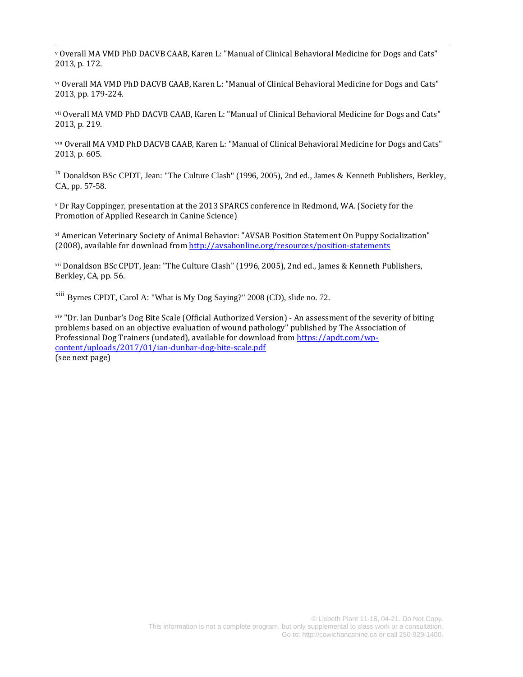<span id="page-7-0"></span><sup>v</sup> Overall MA VMD PhD DACVB CAAB, Karen L: "Manual of Clinical Behavioral Medicine for Dogs and Cats" 2013, p. 172.

<span id="page-7-1"></span>vi Overall MA VMD PhD DACVB CAAB, Karen L: "Manual of Clinical Behavioral Medicine for Dogs and Cats" 2013, pp. 179-224.

<span id="page-7-2"></span>vii Overall MA VMD PhD DACVB CAAB, Karen L: "Manual of Clinical Behavioral Medicine for Dogs and Cats" 2013, p. 219.

<span id="page-7-3"></span>viii Overall MA VMD PhD DACVB CAAB, Karen L: "Manual of Clinical Behavioral Medicine for Dogs and Cats" 2013, p. 605.

<span id="page-7-4"></span>ix Donaldson BSc CPDT, Jean: "The Culture Clash" (1996, 2005), 2nd ed., James & Kenneth Publishers, Berkley, CA, pp. 57-58.

<span id="page-7-5"></span><sup>x</sup> Dr Ray Coppinger, presentation at the 2013 SPARCS conference in Redmond, WA. (Society for the Promotion of Applied Research in Canine Science)

<span id="page-7-6"></span>xi American Veterinary Society of Animal Behavior: "AVSAB Position Statement On Puppy Socialization" (2008), available for download from<http://avsabonline.org/resources/position-statements>

<span id="page-7-7"></span>xii Donaldson BSc CPDT, Jean: "The Culture Clash" (1996, 2005), 2nd ed., James & Kenneth Publishers, Berkley, CA, pp. 56.

<span id="page-7-8"></span>xiii Byrnes CPDT, Carol A: "What is My Dog Saying?" 2008 (CD), slide no. 72.

<span id="page-7-9"></span>xiv "Dr. Ian Dunbar's Dog Bite Scale (Official Authorized Version) - An assessment of the severity of biting problems based on an objective evaluation of wound pathology" published by The Association of Professional Dog Trainers (undated), available for download from [https://apdt.com/wp](https://apdt.com/wp-content/uploads/2017/01/ian-dunbar-dog-bite-scale.pdf)[content/uploads/2017/01/ian-dunbar-dog-bite-scale.pdf](https://apdt.com/wp-content/uploads/2017/01/ian-dunbar-dog-bite-scale.pdf) (see next page)